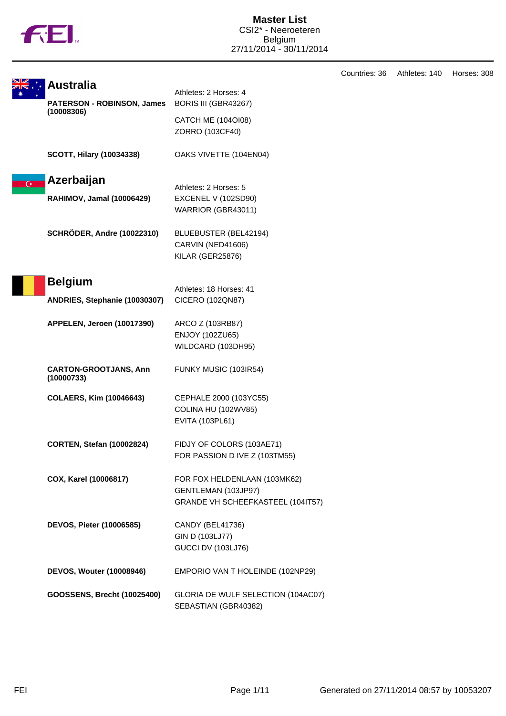

|                |                                            |                                                                                          | Countries: 36 | Athletes: 140 | Horses: 308 |
|----------------|--------------------------------------------|------------------------------------------------------------------------------------------|---------------|---------------|-------------|
|                | <b>Australia</b>                           | Athletes: 2 Horses: 4                                                                    |               |               |             |
|                | <b>PATERSON - ROBINSON, James</b>          | BORIS III (GBR43267)                                                                     |               |               |             |
|                | (10008306)                                 | <b>CATCH ME (104OI08)</b><br>ZORRO (103CF40)                                             |               |               |             |
|                | <b>SCOTT, Hilary (10034338)</b>            | OAKS VIVETTE (104EN04)                                                                   |               |               |             |
| $\overline{G}$ | Azerbaijan                                 |                                                                                          |               |               |             |
|                | <b>RAHIMOV, Jamal (10006429)</b>           | Athletes: 2 Horses: 5<br>EXCENEL V (102SD90)<br>WARRIOR (GBR43011)                       |               |               |             |
|                | <b>SCHRÖDER, Andre (10022310)</b>          | BLUEBUSTER (BEL42194)<br>CARVIN (NED41606)<br>KILAR (GER25876)                           |               |               |             |
|                | <b>Belgium</b>                             | Athletes: 18 Horses: 41                                                                  |               |               |             |
|                | ANDRIES, Stephanie (10030307)              | CICERO (102QN87)                                                                         |               |               |             |
|                | APPELEN, Jeroen (10017390)                 | ARCO Z (103RB87)<br>ENJOY (102ZU65)<br>WILDCARD (103DH95)                                |               |               |             |
|                | <b>CARTON-GROOTJANS, Ann</b><br>(10000733) | FUNKY MUSIC (103IR54)                                                                    |               |               |             |
|                | <b>COLAERS, Kim (10046643)</b>             | CEPHALE 2000 (103YC55)<br>COLINA HU (102WV85)<br>EVITA (103PL61)                         |               |               |             |
|                | <b>CORTEN, Stefan (10002824)</b>           | FIDJY OF COLORS (103AE71)<br>FOR PASSION D IVE Z (103TM55)                               |               |               |             |
|                | COX, Karel (10006817)                      | FOR FOX HELDENLAAN (103MK62)<br>GENTLEMAN (103JP97)<br>GRANDE VH SCHEEFKASTEEL (104IT57) |               |               |             |
|                | <b>DEVOS, Pieter (10006585)</b>            | CANDY (BEL41736)<br>GIN D (103LJ77)<br><b>GUCCI DV (103LJ76)</b>                         |               |               |             |
|                | <b>DEVOS, Wouter (10008946)</b>            | EMPORIO VAN T HOLEINDE (102NP29)                                                         |               |               |             |
|                | GOOSSENS, Brecht (10025400)                | GLORIA DE WULF SELECTION (104AC07)<br>SEBASTIAN (GBR40382)                               |               |               |             |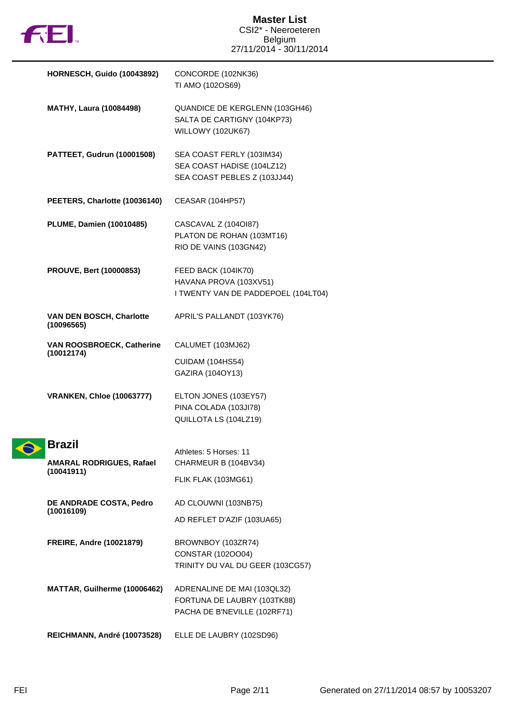

| <b>HORNESCH, Guido (10043892)</b>                       | CONCORDE (102NK36)<br>TI AMO (102OS69)                                                     |
|---------------------------------------------------------|--------------------------------------------------------------------------------------------|
| <b>MATHY, Laura (10084498)</b>                          | QUANDICE DE KERGLENN (103GH46)<br>SALTA DE CARTIGNY (104KP73)<br>WILLOWY (102UK67)         |
| PATTEET, Gudrun (10001508)                              | SEA COAST FERLY (103IM34)<br>SEA COAST HADISE (104LZ12)<br>SEA COAST PEBLES Z (103JJ44)    |
| PEETERS, Charlotte (10036140)                           | <b>CEASAR (104HP57)</b>                                                                    |
| <b>PLUME, Damien (10010485)</b>                         | CASCAVAL Z (104OI87)<br>PLATON DE ROHAN (103MT16)<br>RIO DE VAINS (103GN42)                |
| <b>PROUVE, Bert (10000853)</b>                          | FEED BACK (104IK70)<br>HAVANA PROVA (103XV51)<br>I TWENTY VAN DE PADDEPOEL (104LT04)       |
| VAN DEN BOSCH, Charlotte<br>(10096565)                  | APRIL'S PALLANDT (103YK76)                                                                 |
| VAN ROOSBROECK, Catherine<br>(10012174)                 | CALUMET (103MJ62)<br><b>CUIDAM (104HS54)</b><br>GAZIRA (104OY13)                           |
| <b>VRANKEN, Chloe (10063777)</b>                        | ELTON JONES (103EY57)<br>PINA COLADA (103JI78)<br>QUILLOTA LS (104LZ19)                    |
| Brazil<br><b>AMARAL RODRIGUES, Rafael</b><br>(10041911) | Athletes: 5 Horses: 11<br>CHARMEUR B (104BV34)                                             |
| DE ANDRADE COSTA, Pedro<br>(10016109)                   | FLIK FLAK (103MG61)<br>AD CLOUWNI (103NB75)<br>AD REFLET D'AZIF (103UA65)                  |
| <b>FREIRE, Andre (10021879)</b>                         | BROWNBOY (103ZR74)<br>CONSTAR (102OO04)<br>TRINITY DU VAL DU GEER (103CG57)                |
| MATTAR, Guilherme (10006462)                            | ADRENALINE DE MAI (103QL32)<br>FORTUNA DE LAUBRY (103TK88)<br>PACHA DE B'NEVILLE (102RF71) |
| REICHMANN, André (10073528)                             | ELLE DE LAUBRY (102SD96)                                                                   |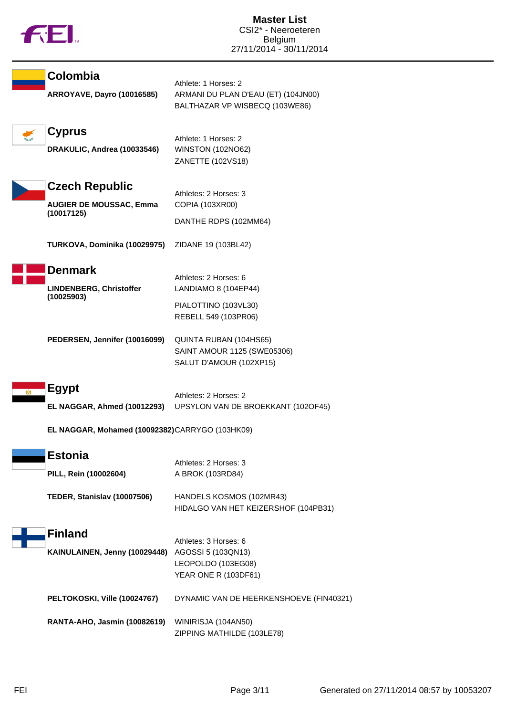| Colombia<br><b>ARROYAVE, Dayro (10016585)</b>                         | Athlete: 1 Horses: 2<br>ARMANI DU PLAN D'EAU (ET) (104JN00)                               |
|-----------------------------------------------------------------------|-------------------------------------------------------------------------------------------|
| <b>Cyprus</b>                                                         | BALTHAZAR VP WISBECQ (103WE86)<br>Athlete: 1 Horses: 2                                    |
| DRAKULIC, Andrea (10033546)                                           | <b>WINSTON (102NO62)</b><br>ZANETTE (102VS18)                                             |
| <b>Czech Republic</b><br><b>AUGIER DE MOUSSAC, Emma</b><br>(10017125) | Athletes: 2 Horses: 3<br>COPIA (103XR00)                                                  |
| TURKOVA, Dominika (10029975)                                          | DANTHE RDPS (102MM64)<br>ZIDANE 19 (103BL42)                                              |
| <b>Denmark</b><br>LINDENBERG, Christoffer<br>(10025903)               | Athletes: 2 Horses: 6<br>LANDIAMO 8 (104EP44)                                             |
|                                                                       | PIALOTTINO (103VL30)<br>REBELL 549 (103PR06)                                              |
| PEDERSEN, Jennifer (10016099)                                         | QUINTA RUBAN (104HS65)<br>SAINT AMOUR 1125 (SWE05306)<br>SALUT D'AMOUR (102XP15)          |
| <b>Egypt</b>                                                          | Athletes: 2 Horses: 2<br>EL NAGGAR, Ahmed (10012293) UPSYLON VAN DE BROEKKANT (102OF45)   |
| EL NAGGAR, Mohamed (10092382)CARRYGO (103HK09)                        |                                                                                           |
| <b>Estonia</b><br>PILL, Rein (10002604)                               | Athletes: 2 Horses: 3<br>A BROK (103RD84)                                                 |
| TEDER, Stanislav (10007506)                                           | HANDELS KOSMOS (102MR43)<br>HIDALGO VAN HET KEIZERSHOF (104PB31)                          |
| <b>Finland</b><br>KAINULAINEN, Jenny (10029448)                       | Athletes: 3 Horses: 6<br>AGOSSI 5 (103QN13)<br>LEOPOLDO (103EG08)<br>YEAR ONE R (103DF61) |
| PELTOKOSKI, Ville (10024767)                                          | DYNAMIC VAN DE HEERKENSHOEVE (FIN40321)                                                   |
| RANTA-AHO, Jasmin (10082619)                                          | WINIRISJA (104AN50)<br>ZIPPING MATHILDE (103LE78)                                         |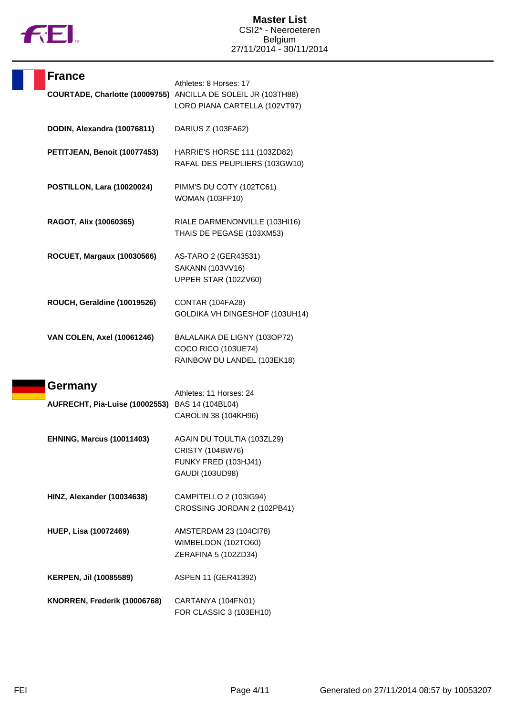

| <b>France</b> |                                   | Athletes: 8 Horses: 17                                                                         |
|---------------|-----------------------------------|------------------------------------------------------------------------------------------------|
|               |                                   | COURTADE, Charlotte (10009755) ANCILLA DE SOLEIL JR (103TH88)<br>LORO PIANA CARTELLA (102VT97) |
|               | DODIN, Alexandra (10076811)       | DARIUS Z (103FA62)                                                                             |
|               | PETITJEAN, Benoit (10077453)      | HARRIE'S HORSE 111 (103ZD82)<br>RAFAL DES PEUPLIERS (103GW10)                                  |
|               | POSTILLON, Lara (10020024)        | PIMM'S DU COTY (102TC61)<br><b>WOMAN (103FP10)</b>                                             |
|               | RAGOT, Alix (10060365)            | RIALE DARMENONVILLE (103HI16)<br>THAIS DE PEGASE (103XM53)                                     |
|               | <b>ROCUET, Margaux (10030566)</b> | AS-TARO 2 (GER43531)<br>SAKANN (103VV16)<br>UPPER STAR (102ZV60)                               |
|               | ROUCH, Geraldine (10019526)       | CONTAR (104FA28)<br>GOLDIKA VH DINGESHOF (103UH14)                                             |
|               | <b>VAN COLEN, Axel (10061246)</b> | BALALAIKA DE LIGNY (103OP72)<br>COCO RICO (103UE74)<br>RAINBOW DU LANDEL (103EK18)             |
| Germany       |                                   | Athletes: 11 Horses: 24                                                                        |
|               | AUFRECHT, Pia-Luise (10002553)    | BAS 14 (104BL04)<br>CAROLIN 38 (104KH96)                                                       |
|               | <b>EHNING, Marcus (10011403)</b>  | AGAIN DU TOULTIA (103ZL29)<br>CRISTY (104BW76)<br>FUNKY FRED (103HJ41)<br>GAUDI (103UD98)      |
|               | HINZ, Alexander (10034638)        | CAMPITELLO 2 (103IG94)<br>CROSSING JORDAN 2 (102PB41)                                          |
|               | <b>HUEP, Lisa (10072469)</b>      | AMSTERDAM 23 (104Cl78)<br>WIMBELDON (102TO60)<br>ZERAFINA 5 (102ZD34)                          |
|               | <b>KERPEN, Jil (10085589)</b>     | ASPEN 11 (GER41392)                                                                            |
|               | KNORREN, Frederik (10006768)      | CARTANYA (104FN01)<br>FOR CLASSIC 3 (103EH10)                                                  |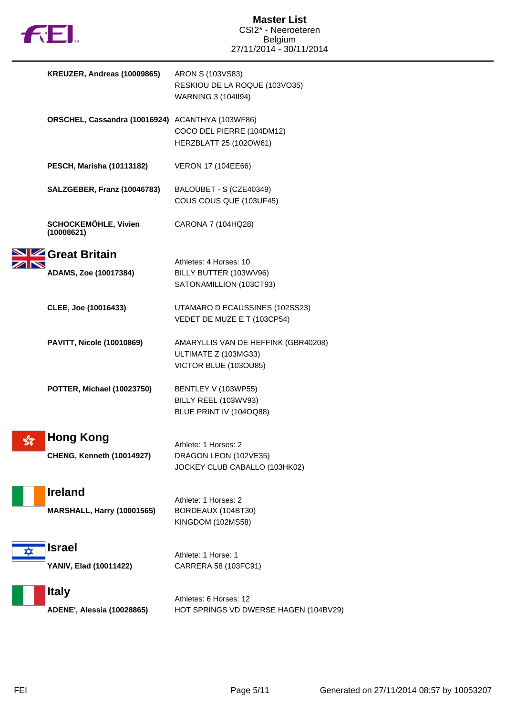

|   | KREUZER, Andreas (10009865)                      | ARON S (103VS83)                      |
|---|--------------------------------------------------|---------------------------------------|
|   |                                                  | RESKIOU DE LA ROQUE (103VO35)         |
|   |                                                  | WARNING 3 (104II94)                   |
|   |                                                  |                                       |
|   | ORSCHEL, Cassandra (10016924) ACANTHYA (103WF86) |                                       |
|   |                                                  |                                       |
|   |                                                  | COCO DEL PIERRE (104DM12)             |
|   |                                                  | HERZBLATT 25 (102OW61)                |
|   |                                                  |                                       |
|   | <b>PESCH, Marisha (10113182)</b>                 | VERON 17 (104EE66)                    |
|   |                                                  |                                       |
|   | SALZGEBER, Franz (10046783)                      | BALOUBET - S (CZE40349)               |
|   |                                                  | COUS COUS QUE (103UF45)               |
|   |                                                  |                                       |
|   | <b>SCHOCKEMÖHLE, Vivien</b>                      | CARONA 7 (104HQ28)                    |
|   | (10008621)                                       |                                       |
|   |                                                  |                                       |
|   | <b>4 Great Britain</b>                           |                                       |
|   |                                                  | Athletes: 4 Horses: 10                |
|   | ADAMS, Zoe (10017384)                            | BILLY BUTTER (103WV96)                |
|   |                                                  | SATONAMILLION (103CT93)               |
|   |                                                  |                                       |
|   | CLEE, Joe (10016433)                             | UTAMARO D ECAUSSINES (102SS23)        |
|   |                                                  | VEDET DE MUZE E T (103CP54)           |
|   |                                                  |                                       |
|   | <b>PAVITT, Nicole (10010869)</b>                 | AMARYLLIS VAN DE HEFFINK (GBR40208)   |
|   |                                                  | ULTIMATE Z (103MG33)                  |
|   |                                                  | VICTOR BLUE (103OU85)                 |
|   |                                                  |                                       |
|   |                                                  |                                       |
|   | POTTER, Michael (10023750)                       | BENTLEY V (103WP55)                   |
|   |                                                  | BILLY REEL (103WV93)                  |
|   |                                                  | BLUE PRINT IV (104OQ88)               |
|   |                                                  |                                       |
| % | <b>Hong Kong</b>                                 |                                       |
|   |                                                  | Athlete: 1 Horses: 2                  |
|   | <b>CHENG, Kenneth (10014927)</b>                 | DRAGON LEON (102VE35)                 |
|   |                                                  | JOCKEY CLUB CABALLO (103HK02)         |
|   |                                                  |                                       |
|   | <b>Ireland</b>                                   |                                       |
|   |                                                  | Athlete: 1 Horses: 2                  |
|   | <b>MARSHALL, Harry (10001565)</b>                | BORDEAUX (104BT30)                    |
|   |                                                  | KINGDOM (102MS58)                     |
|   |                                                  |                                       |
| ✿ | <b>Israel</b>                                    |                                       |
|   |                                                  | Athlete: 1 Horse: 1                   |
|   | YANIV, Elad (10011422)                           | CARRERA 58 (103FC91)                  |
|   |                                                  |                                       |
|   | <b>Italy</b>                                     |                                       |
|   |                                                  | Athletes: 6 Horses: 12                |
|   | ADENE', Alessia (10028865)                       | HOT SPRINGS VD DWERSE HAGEN (104BV29) |
|   |                                                  |                                       |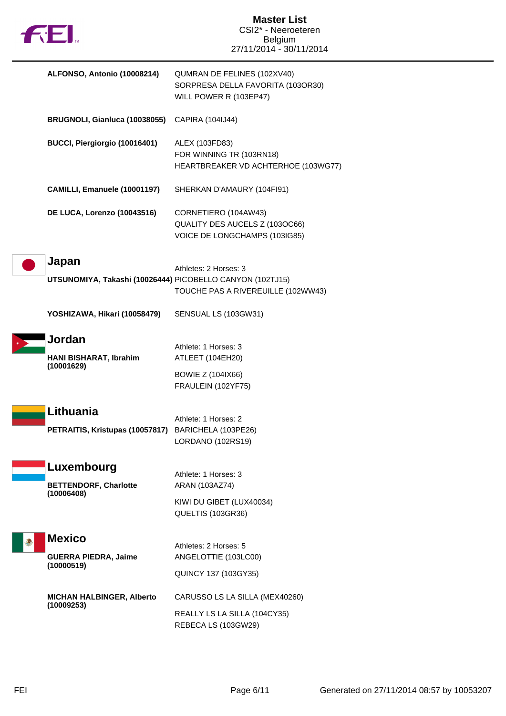| <b>FEI.</b>                 |                                              | <b>Master List</b><br>CSI2* - Neeroeteren<br>Belgium<br>27/11/2014 - 30/11/2014                                          |
|-----------------------------|----------------------------------------------|--------------------------------------------------------------------------------------------------------------------------|
|                             | ALFONSO, Antonio (10008214)                  | QUMRAN DE FELINES (102XV40)<br>SORPRESA DELLA FAVORITA (103OR30)<br>WILL POWER R (103EP47)                               |
|                             | BRUGNOLI, Gianluca (10038055)                | CAPIRA (104IJ44)                                                                                                         |
|                             | BUCCI, Piergiorgio (10016401)                | ALEX (103FD83)<br>FOR WINNING TR (103RN18)<br>HEARTBREAKER VD ACHTERHOE (103WG77)                                        |
|                             | CAMILLI, Emanuele (10001197)                 | SHERKAN D'AMAURY (104FI91)                                                                                               |
|                             | DE LUCA, Lorenzo (10043516)                  | CORNETIERO (104AW43)<br>QUALITY DES AUCELS Z (103OC66)<br>VOICE DE LONGCHAMPS (103IG85)                                  |
| Japan                       |                                              | Athletes: 2 Horses: 3<br>UTSUNOMIYA, Takashi (10026444) PICOBELLO CANYON (102TJ15)<br>TOUCHE PAS A RIVEREUILLE (102WW43) |
|                             | YOSHIZAWA, Hikari (10058479)                 | SENSUAL LS (103GW31)                                                                                                     |
| Jordan<br>(10001629)        | HANI BISHARAT, Ibrahim                       | Athlete: 1 Horses: 3<br>ATLEET (104EH20)<br><b>BOWIE Z (104IX66)</b><br>FRAULEIN (102YF75)                               |
|                             | Lithuania<br>PETRAITIS, Kristupas (10057817) | Athlete: 1 Horses: 2<br>BARICHELA (103PE26)<br>LORDANO (102RS19)                                                         |
| (10006408)                  | Luxembourg<br><b>BETTENDORF, Charlotte</b>   | Athlete: 1 Horses: 3<br>ARAN (103AZ74)                                                                                   |
|                             |                                              | KIWI DU GIBET (LUX40034)<br>QUELTIS (103GR36)                                                                            |
| <b>Mexico</b><br>(10000519) | <b>GUERRA PIEDRA, Jaime</b>                  | Athletes: 2 Horses: 5<br>ANGELOTTIE (103LC00)<br><b>QUINCY 137 (103GY35)</b>                                             |
| (10009253)                  | <b>MICHAN HALBINGER, Alberto</b>             | CARUSSO LS LA SILLA (MEX40260)<br>REALLY LS LA SILLA (104CY35)<br>REBECA LS (103GW29)                                    |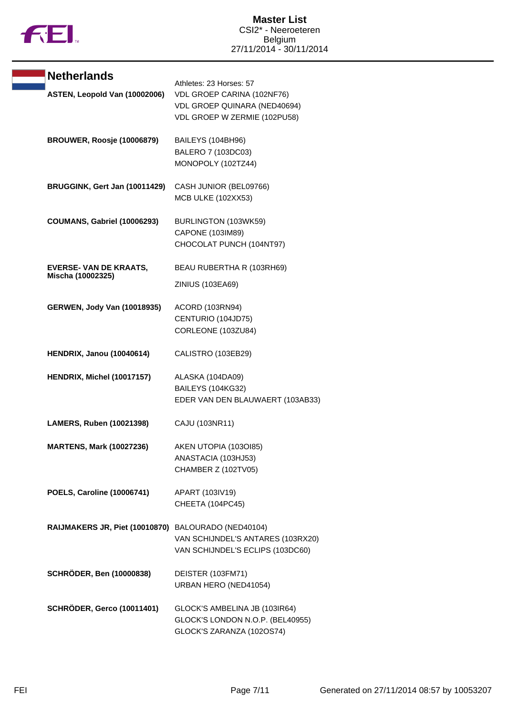

| <b>Netherlands</b><br>ASTEN, Leopold Van (10002006) | Athletes: 23 Horses: 57<br>VDL GROEP CARINA (102NF76)<br>VDL GROEP QUINARA (NED40694)<br>VDL GROEP W ZERMIE (102PU58) |
|-----------------------------------------------------|-----------------------------------------------------------------------------------------------------------------------|
| BROUWER, Roosje (10006879)                          | BAILEYS (104BH96)<br>BALERO 7 (103DC03)<br>MONOPOLY (102TZ44)                                                         |
| BRUGGINK, Gert Jan (10011429)                       | CASH JUNIOR (BEL09766)<br>MCB ULKE (102XX53)                                                                          |
| COUMANS, Gabriel (10006293)                         | BURLINGTON (103WK59)<br>CAPONE (103IM89)<br>CHOCOLAT PUNCH (104NT97)                                                  |
| <b>EVERSE- VAN DE KRAATS,</b><br>Mischa (10002325)  | BEAU RUBERTHA R (103RH69)<br>ZINIUS (103EA69)                                                                         |
| <b>GERWEN, Jody Van (10018935)</b>                  | ACORD (103RN94)<br>CENTURIO (104JD75)<br>CORLEONE (103ZU84)                                                           |
| <b>HENDRIX, Janou (10040614)</b>                    | CALISTRO (103EB29)                                                                                                    |
| HENDRIX, Michel (10017157)                          | ALASKA (104DA09)<br>BAILEYS (104KG32)<br>EDER VAN DEN BLAUWAERT (103AB33)                                             |
| <b>LAMERS, Ruben (10021398)</b>                     | CAJU (103NR11)                                                                                                        |
| <b>MARTENS, Mark (10027236)</b>                     | AKEN UTOPIA (1030185)<br>ANASTACIA (103HJ53)<br>CHAMBER Z (102TV05)                                                   |
| <b>POELS, Caroline (10006741)</b>                   | APART (103IV19)<br>CHEETA (104PC45)                                                                                   |
| RAIJMAKERS JR, Piet (10010870)                      | BALOURADO (NED40104)<br>VAN SCHIJNDEL'S ANTARES (103RX20)<br>VAN SCHIJNDEL'S ECLIPS (103DC60)                         |
| <b>SCHRÖDER, Ben (10000838)</b>                     | DEISTER (103FM71)<br>URBAN HERO (NED41054)                                                                            |
| <b>SCHRÖDER, Gerco (10011401)</b>                   | GLOCK'S AMBELINA JB (103IR64)<br>GLOCK'S LONDON N.O.P. (BEL40955)<br>GLOCK'S ZARANZA (102OS74)                        |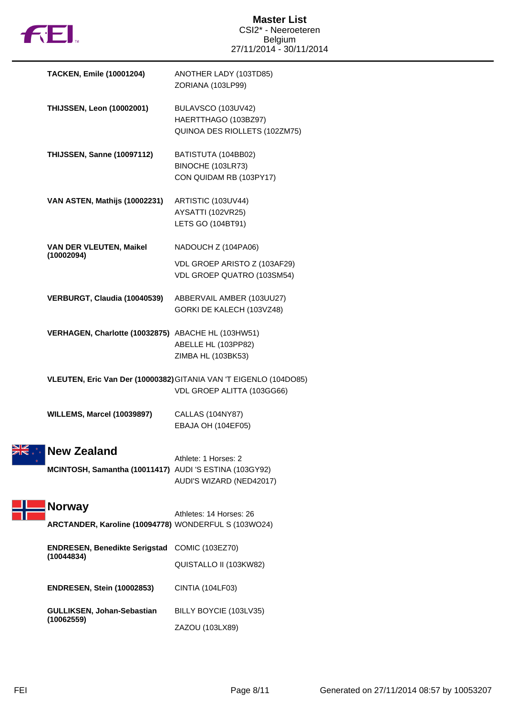

| <b>TACKEN, Emile (10001204)</b>                                              | ANOTHER LADY (103TD85)<br>ZORIANA (103LP99)                                                     |
|------------------------------------------------------------------------------|-------------------------------------------------------------------------------------------------|
| <b>THIJSSEN, Leon (10002001)</b>                                             | BULAVSCO (103UV42)<br>HAERTTHAGO (103BZ97)<br>QUINOA DES RIOLLETS (102ZM75)                     |
| <b>THIJSSEN, Sanne (10097112)</b>                                            | BATISTUTA (104BB02)<br>BINOCHE (103LR73)<br>CON QUIDAM RB (103PY17)                             |
| VAN ASTEN, Mathijs (10002231)                                                | ARTISTIC (103UV44)<br>AYSATTI (102VR25)<br>LETS GO (104BT91)                                    |
| VAN DER VLEUTEN, Maikel                                                      | NADOUCH Z (104PA06)                                                                             |
| (10002094)                                                                   | VDL GROEP ARISTO Z (103AF29)<br>VDL GROEP QUATRO (103SM54)                                      |
| VERBURGT, Claudia (10040539)                                                 | ABBERVAIL AMBER (103UU27)<br>GORKI DE KALECH (103VZ48)                                          |
| VERHAGEN, Charlotte (10032875) ABACHE HL (103HW51)                           | ABELLE HL (103PP82)<br>ZIMBA HL (103BK53)                                                       |
|                                                                              | VLEUTEN, Eric Van Der (10000382) GITANIA VAN 'T EIGENLO (104DO85)<br>VDL GROEP ALITTA (103GG66) |
| <b>WILLEMS, Marcel (10039897)</b>                                            | <b>CALLAS (104NY87)</b><br>EBAJA OH (104EF05)                                                   |
| <b>New Zealand</b><br>MCINTOSH, Samantha (10011417) AUDI 'S ESTINA (103GY92) | Athlete: 1 Horses: 2<br>AUDI'S WIZARD (NED42017)                                                |
| <b>Norway</b>                                                                | Athletes: 14 Horses: 26                                                                         |
| ARCTANDER, Karoline (10094778) WONDERFUL S (103WO24)                         |                                                                                                 |
| <b>ENDRESEN, Benedikte Serigstad</b>                                         | COMIC (103EZ70)                                                                                 |
| (10044834)                                                                   | QUISTALLO II (103KW82)                                                                          |
| <b>ENDRESEN, Stein (10002853)</b>                                            | CINTIA (104LF03)                                                                                |
| GULLIKSEN, Johan-Sebastian<br>(10062559)                                     | BILLY BOYCIE (103LV35)                                                                          |
|                                                                              | ZAZOU (103LX89)                                                                                 |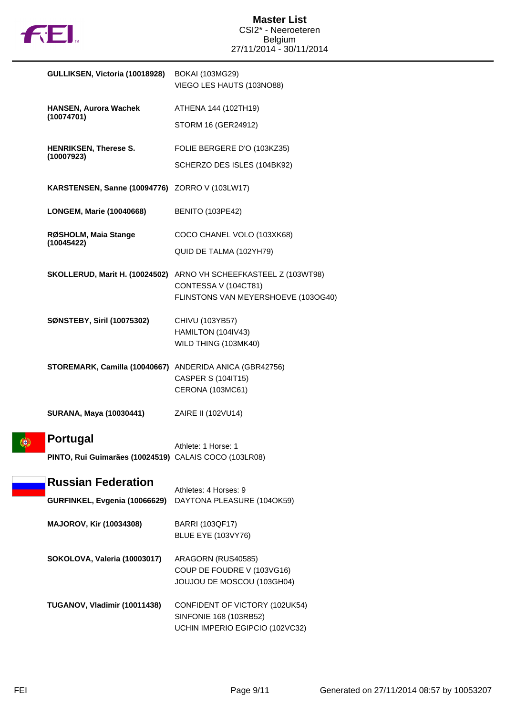

| GULLIKSEN, Victoria (10018928)                                                | <b>BOKAI (103MG29)</b><br>VIEGO LES HAUTS (103NO88)                                                                             |
|-------------------------------------------------------------------------------|---------------------------------------------------------------------------------------------------------------------------------|
| <b>HANSEN, Aurora Wachek</b>                                                  | ATHENA 144 (102TH19)                                                                                                            |
| (10074701)                                                                    | STORM 16 (GER24912)                                                                                                             |
| <b>HENRIKSEN, Therese S.</b>                                                  | FOLIE BERGERE D'O (103KZ35)                                                                                                     |
| (10007923)                                                                    | SCHERZO DES ISLES (104BK92)                                                                                                     |
| <b>KARSTENSEN, Sanne (10094776)</b> ZORRO V (103LW17)                         |                                                                                                                                 |
| <b>LONGEM, Marie (10040668)</b>                                               | <b>BENITO (103PE42)</b>                                                                                                         |
| RØSHOLM, Maia Stange<br>(10045422)                                            | COCO CHANEL VOLO (103XK68)                                                                                                      |
|                                                                               | QUID DE TALMA (102YH79)                                                                                                         |
|                                                                               | SKOLLERUD, Marit H. (10024502) ARNO VH SCHEEFKASTEEL Z (103WT98)<br>CONTESSA V (104CT81)<br>FLINSTONS VAN MEYERSHOEVE (103OG40) |
| <b>SØNSTEBY, Siril (10075302)</b>                                             | CHIVU (103YB57)                                                                                                                 |
|                                                                               | HAMILTON (104IV43)<br>WILD THING (103MK40)                                                                                      |
| STOREMARK, Camilla (10040667) ANDERIDA ANICA (GBR42756)                       | <b>CASPER S (104IT15)</b><br>CERONA (103MC61)                                                                                   |
| SURANA, Maya (10030441)                                                       | ZAIRE II (102VU14)                                                                                                              |
| <b>Portugal</b><br>⊕<br>PINTO, Rui Guimarães (10024519) CALAIS COCO (103LR08) | Athlete: 1 Horse: 1                                                                                                             |
| <b>Russian Federation</b><br>GURFINKEL, Evgenia (10066629)                    | Athletes: 4 Horses: 9<br>DAYTONA PLEASURE (104OK59)                                                                             |
|                                                                               |                                                                                                                                 |
| <b>MAJOROV, Kir (10034308)</b>                                                | BARRI (103QF17)<br><b>BLUE EYE (103VY76)</b>                                                                                    |
| SOKOLOVA, Valeria (10003017)                                                  | ARAGORN (RUS40585)<br>COUP DE FOUDRE V (103VG16)<br>JOUJOU DE MOSCOU (103GH04)                                                  |
| TUGANOV, Vladimir (10011438)                                                  | CONFIDENT OF VICTORY (102UK54)<br>SINFONIE 168 (103RB52)<br>UCHIN IMPERIO EGIPCIO (102VC32)                                     |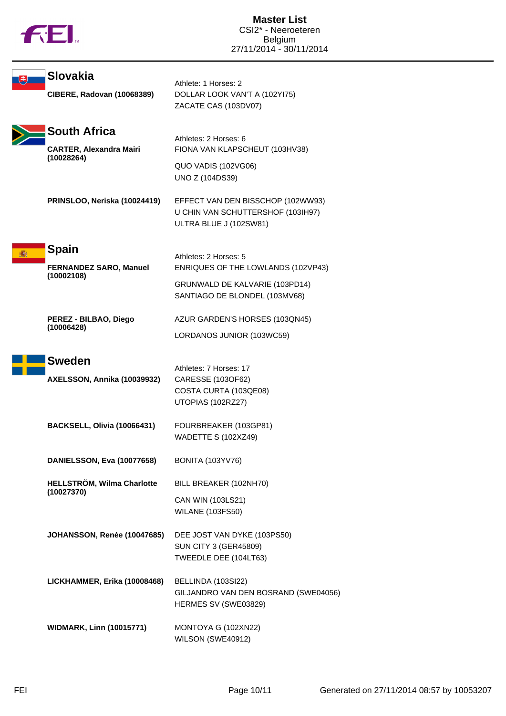

| <b>Slovakia</b>                                                     | Athlete: 1 Horses: 2                                                                             |
|---------------------------------------------------------------------|--------------------------------------------------------------------------------------------------|
| <b>CIBERE, Radovan (10068389)</b>                                   | DOLLAR LOOK VAN'T A (102YI75)<br>ZACATE CAS (103DV07)                                            |
| <b>South Africa</b><br><b>CARTER, Alexandra Mairi</b><br>(10028264) | Athletes: 2 Horses: 6<br>FIONA VAN KLAPSCHEUT (103HV38)                                          |
|                                                                     | QUO VADIS (102VG06)<br>UNO Z (104DS39)                                                           |
| PRINSLOO, Neriska (10024419)                                        | EFFECT VAN DEN BISSCHOP (102WW93)<br>U CHIN VAN SCHUTTERSHOF (103IH97)<br>ULTRA BLUE J (102SW81) |
| <b>Spain</b><br><b>FERNANDEZ SARO, Manuel</b>                       | Athletes: 2 Horses: 5<br>ENRIQUES OF THE LOWLANDS (102VP43)                                      |
| (10002108)                                                          | GRUNWALD DE KALVARIE (103PD14)<br>SANTIAGO DE BLONDEL (103MV68)                                  |
| PEREZ - BILBAO, Diego<br>(10006428)                                 | AZUR GARDEN'S HORSES (103QN45)                                                                   |
|                                                                     | LORDANOS JUNIOR (103WC59)                                                                        |
| <b>Sweden</b><br>AXELSSON, Annika (10039932)                        | Athletes: 7 Horses: 17<br>CARESSE (103OF62)<br>COSTA CURTA (103QE08)<br>UTOPIAS (102RZ27)        |
| BACKSELL, Olivia (10066431)                                         | FOURBREAKER (103GP81)<br><b>WADETTE S (102XZ49)</b>                                              |
| DANIELSSON, Eva (10077658)                                          | <b>BONITA (103YV76)</b>                                                                          |
| HELLSTRÖM, Wilma Charlotte<br>(10027370)                            | BILL BREAKER (102NH70)                                                                           |
|                                                                     | CAN WIN (103LS21)<br><b>WILANE (103FS50)</b>                                                     |
| JOHANSSON, Renèe (10047685)                                         | DEE JOST VAN DYKE (103PS50)<br><b>SUN CITY 3 (GER45809)</b><br>TWEEDLE DEE (104LT63)             |
| LICKHAMMER, Erika (10008468)                                        | BELLINDA (103SI22)<br>GILJANDRO VAN DEN BOSRAND (SWE04056)<br>HERMES SV (SWE03829)               |
| <b>WIDMARK, Linn (10015771)</b>                                     | MONTOYA G (102XN22)<br>WILSON (SWE40912)                                                         |